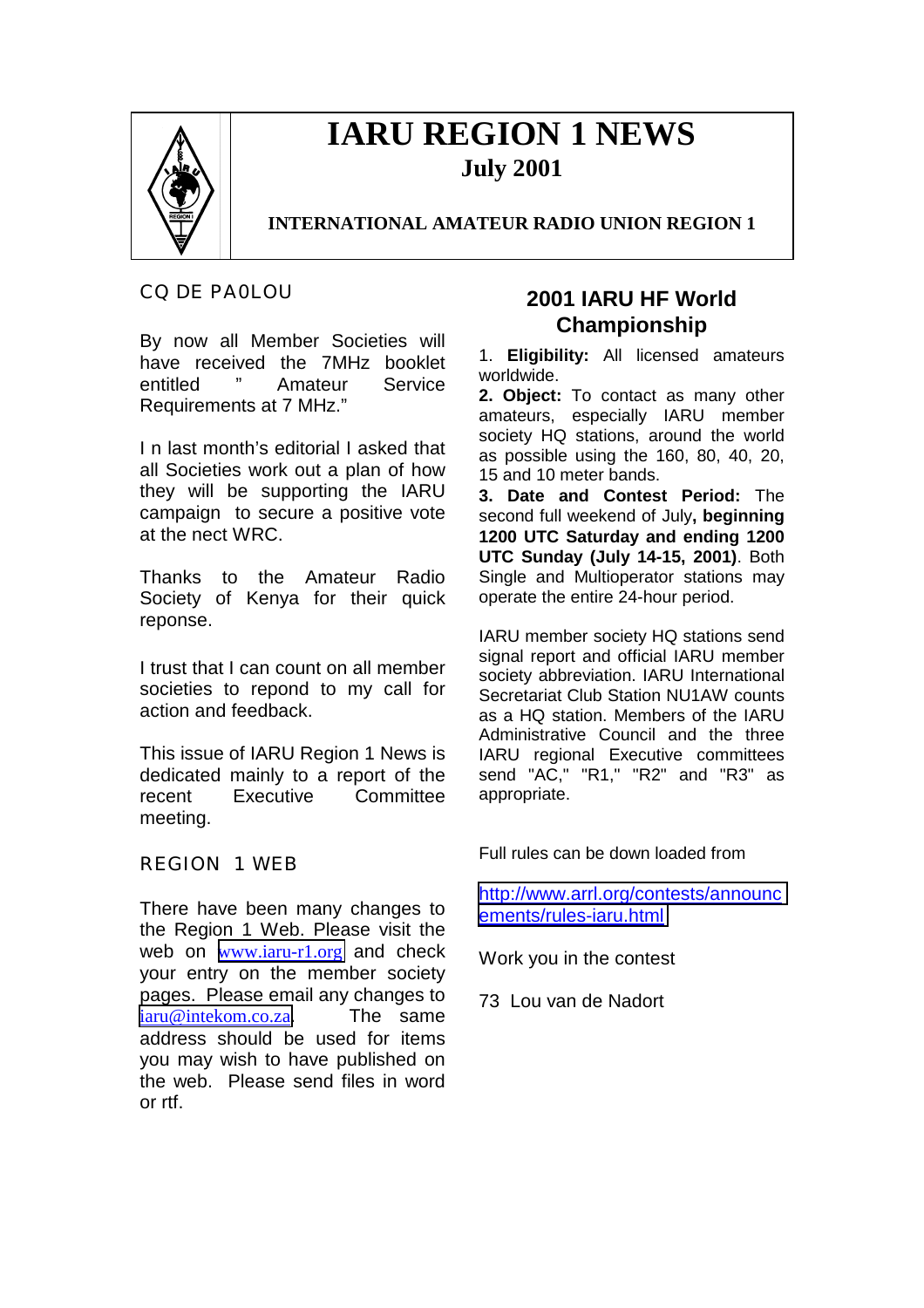

# **IARU REGION 1 NEWS July 2001**

## **INTERNATIONAL AMATEUR RADIO UNION REGION 1**

CQ DE PA0LOU

By now all Member Societies will have received the 7MHz booklet entitled " Amateur Service Requirements at 7 MHz."

I n last month's editorial I asked that all Societies work out a plan of how they will be supporting the IARU campaign to secure a positive vote at the nect WRC.

Thanks to the Amateur Radio Society of Kenya for their quick reponse.

I trust that I can count on all member societies to repond to my call for action and feedback.

This issue of IARU Region 1 News is dedicated mainly to a report of the recent Executive Committee meeting.

REGION 1 WEB

There have been many changes to the Region 1 Web. Please visit the web on www.jaru-r1.org and check your entry on the member society pages. Please email any changes to [iaru@intekom.co.za](mailto:iaru@intekom.co.za). The same address should be used for items you may wish to have published on the web. Please send files in word or rtf.

## **2001 IARU HF World Championship**

1. **Eligibility:** All licensed amateurs worldwide.

**2. Object:** To contact as many other amateurs, especially IARU member society HQ stations, around the world as possible using the 160, 80, 40, 20, 15 and 10 meter bands.

**3. Date and Contest Period:** The second full weekend of July**, beginning 1200 UTC Saturday and ending 1200 UTC Sunday (July 14-15, 2001)**. Both Single and Multioperator stations may operate the entire 24-hour period.

IARU member society HQ stations send signal report and official IARU member society abbreviation. IARU International Secretariat Club Station NU1AW counts as a HQ station. Members of the IARU Administrative Council and the three IARU regional Executive committees send "AC," "R1," "R2" and "R3" as appropriate.

Full rules can be down loaded from

[http://www.arrl.org/contests/announc](http://www.arrl.org/contests/announcements/rules-iaru.html) [ements/rules-iaru.html](http://www.arrl.org/contests/announcements/rules-iaru.html)

Work you in the contest

73 Lou van de Nadort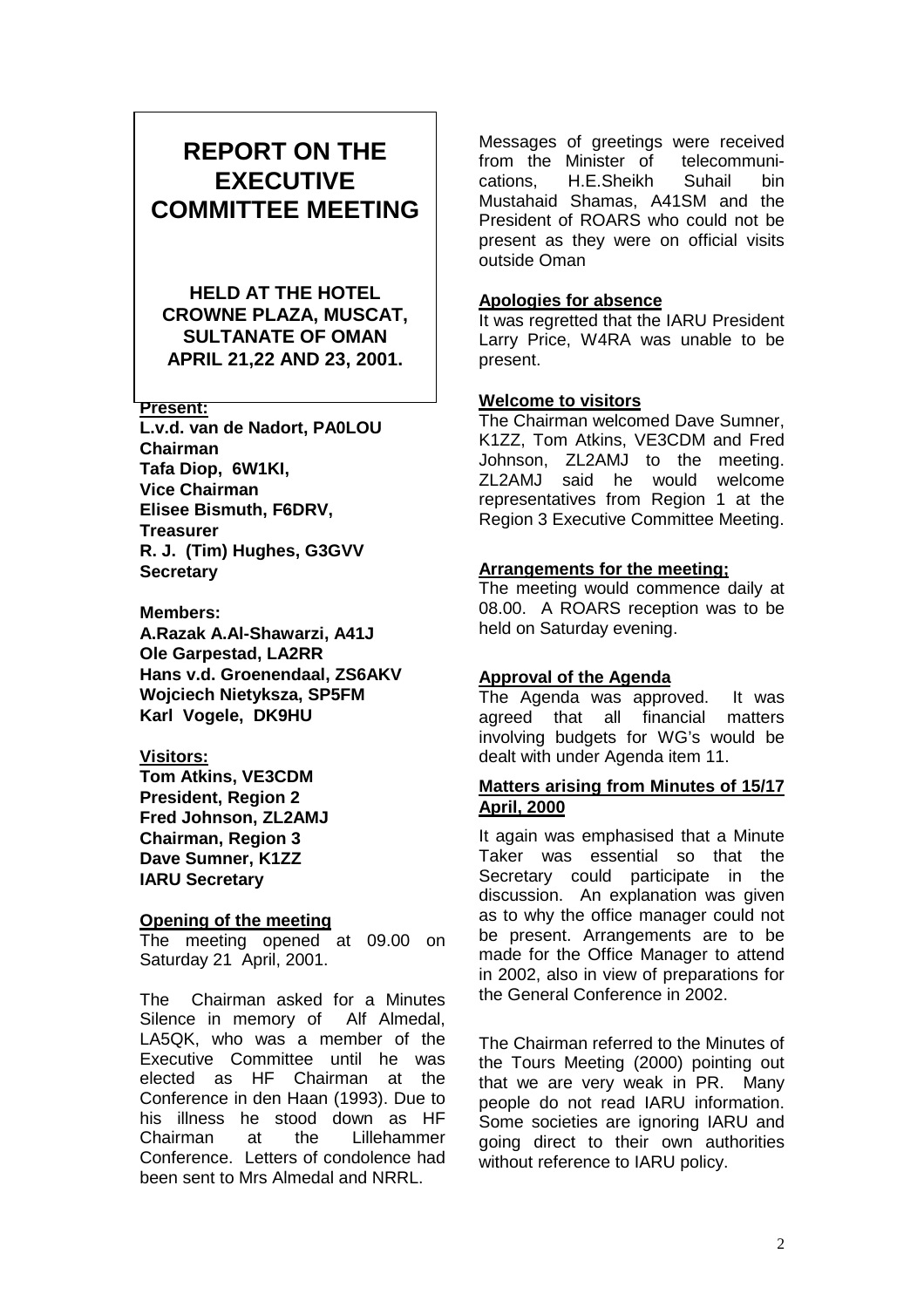## **REPORT ON THE EXECUTIVE COMMITTEE MEETING**

**HELD AT THE HOTEL CROWNE PLAZA, MUSCAT, SULTANATE OF OMAN APRIL 21,22 AND 23, 2001.**

#### **Present:**

**L.v.d. van de Nadort, PA0LOU Chairman Tafa Diop, 6W1KI, Vice Chairman Elisee Bismuth, F6DRV, Treasurer R. J. (Tim) Hughes, G3GVV Secretary**

#### **Members:**

**A.Razak A.Al-Shawarzi, A41J Ole Garpestad, LA2RR Hans v.d. Groenendaal, ZS6AKV Wojciech Nietyksza, SP5FM Karl Vogele, DK9HU**

#### **Visitors:**

**Tom Atkins, VE3CDM President, Region 2 Fred Johnson, ZL2AMJ Chairman, Region 3 Dave Sumner, K1ZZ IARU Secretary**

#### **Opening of the meeting**

The meeting opened at 09.00 on Saturday 21 April, 2001.

The Chairman asked for a Minutes Silence in memory of Alf Almedal, LA5QK, who was a member of the Executive Committee until he was elected as HF Chairman at the Conference in den Haan (1993). Due to his illness he stood down as HF Chairman at the Lillehammer Conference. Letters of condolence had been sent to Mrs Almedal and NRRL.

Messages of greetings were received from the Minister of telecommunications, H.E.Sheikh Suhail bin Mustahaid Shamas, A41SM and the President of ROARS who could not be present as they were on official visits outside Oman

#### **Apologies for absence**

It was regretted that the IARU President Larry Price, W4RA was unable to be present.

#### **Welcome to visitors**

The Chairman welcomed Dave Sumner, K1ZZ, Tom Atkins, VE3CDM and Fred Johnson, ZL2AMJ to the meeting. ZL2AMJ said he would welcome representatives from Region 1 at the Region 3 Executive Committee Meeting.

#### **Arrangements for the meeting;**

The meeting would commence daily at 08.00. A ROARS reception was to be held on Saturday evening.

#### **Approval of the Agenda**

The Agenda was approved. It was agreed that all financial matters involving budgets for WG's would be dealt with under Agenda item 11.

#### **Matters arising from Minutes of 15/17 April, 2000**

It again was emphasised that a Minute Taker was essential so that the Secretary could participate in the discussion. An explanation was given as to why the office manager could not be present. Arrangements are to be made for the Office Manager to attend in 2002, also in view of preparations for the General Conference in 2002.

The Chairman referred to the Minutes of the Tours Meeting (2000) pointing out that we are very weak in PR. Many people do not read IARU information. Some societies are ignoring IARU and going direct to their own authorities without reference to IARU policy.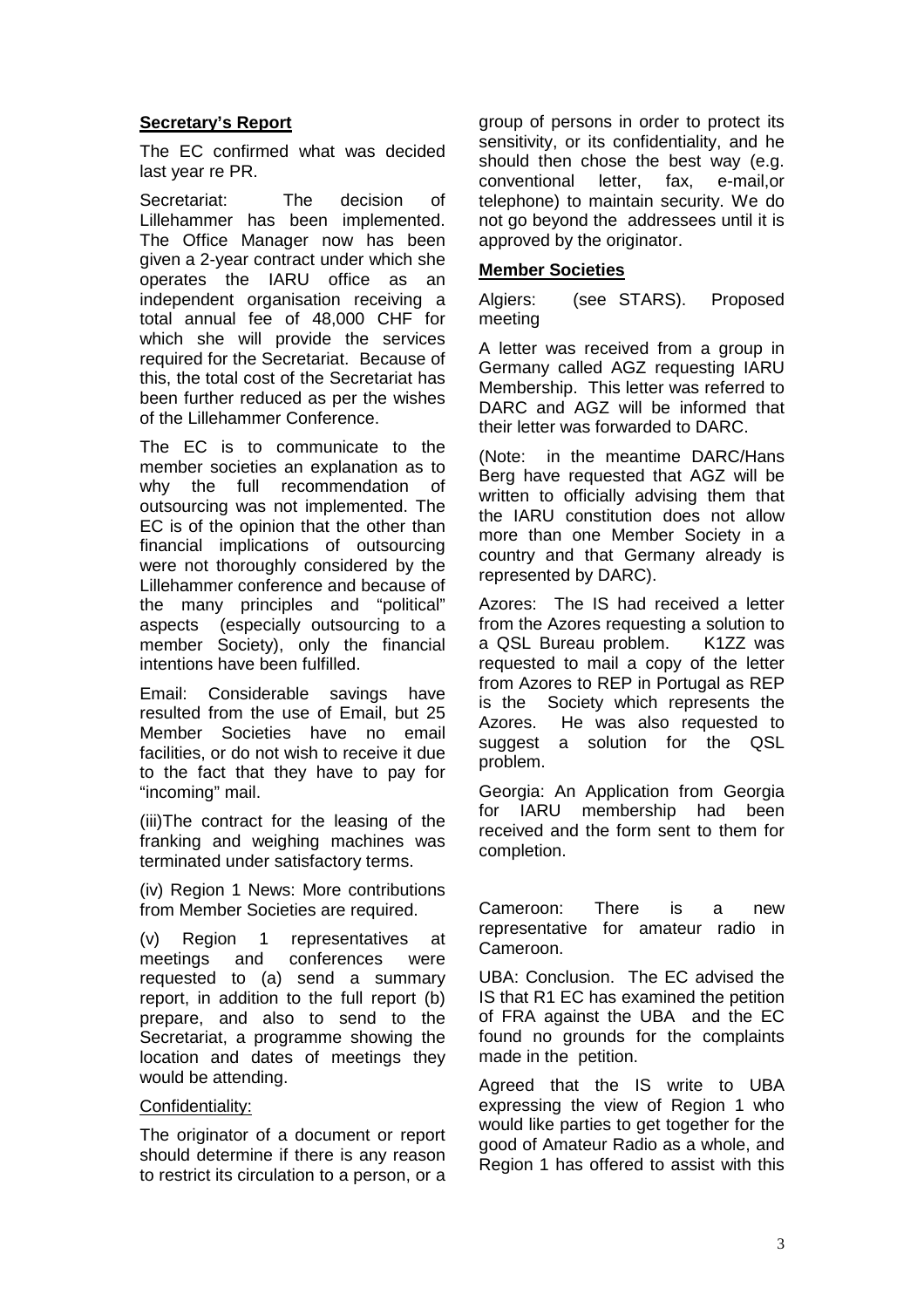## **Secretary's Report**

The EC confirmed what was decided last year re PR.

Secretariat: The decision of Lillehammer has been implemented. The Office Manager now has been given a 2-year contract under which she operates the IARU office as an independent organisation receiving a total annual fee of 48,000 CHF for which she will provide the services required for the Secretariat. Because of this, the total cost of the Secretariat has been further reduced as per the wishes of the Lillehammer Conference.

The EC is to communicate to the member societies an explanation as to why the full recommendation of outsourcing was not implemented. The EC is of the opinion that the other than financial implications of outsourcing were not thoroughly considered by the Lillehammer conference and because of the many principles and "political" aspects (especially outsourcing to a member Society), only the financial intentions have been fulfilled.

Email: Considerable savings have resulted from the use of Email, but 25 Member Societies have no email facilities, or do not wish to receive it due to the fact that they have to pay for "incoming" mail.

(iii)The contract for the leasing of the franking and weighing machines was terminated under satisfactory terms.

(iv) Region 1 News: More contributions from Member Societies are required.

(v) Region 1 representatives at meetings and conferences were requested to (a) send a summary report, in addition to the full report (b) prepare, and also to send to the Secretariat, a programme showing the location and dates of meetings they would be attending.

#### Confidentiality:

The originator of a document or report should determine if there is any reason to restrict its circulation to a person, or a

group of persons in order to protect its sensitivity, or its confidentiality, and he should then chose the best way (e.g. conventional letter, fax, e-mail,or telephone) to maintain security. We do not go beyond the addressees until it is approved by the originator.

#### **Member Societies**

Algiers: (see STARS). Proposed meeting

A letter was received from a group in Germany called AGZ requesting IARU Membership. This letter was referred to DARC and AGZ will be informed that their letter was forwarded to DARC.

(Note: in the meantime DARC/Hans Berg have requested that AGZ will be written to officially advising them that the IARU constitution does not allow more than one Member Society in a country and that Germany already is represented by DARC).

Azores: The IS had received a letter from the Azores requesting a solution to a QSL Bureau problem. K1ZZ was requested to mail a copy of the letter from Azores to REP in Portugal as REP is the Society which represents the Azores. He was also requested to suggest a solution for the QSL problem.

Georgia: An Application from Georgia for IARU membership had been received and the form sent to them for completion.

Cameroon: There is a new representative for amateur radio in Cameroon.

UBA: Conclusion. The EC advised the IS that R1 EC has examined the petition of FRA against the UBA and the EC found no grounds for the complaints made in the petition.

Agreed that the IS write to UBA expressing the view of Region 1 who would like parties to get together for the good of Amateur Radio as a whole, and Region 1 has offered to assist with this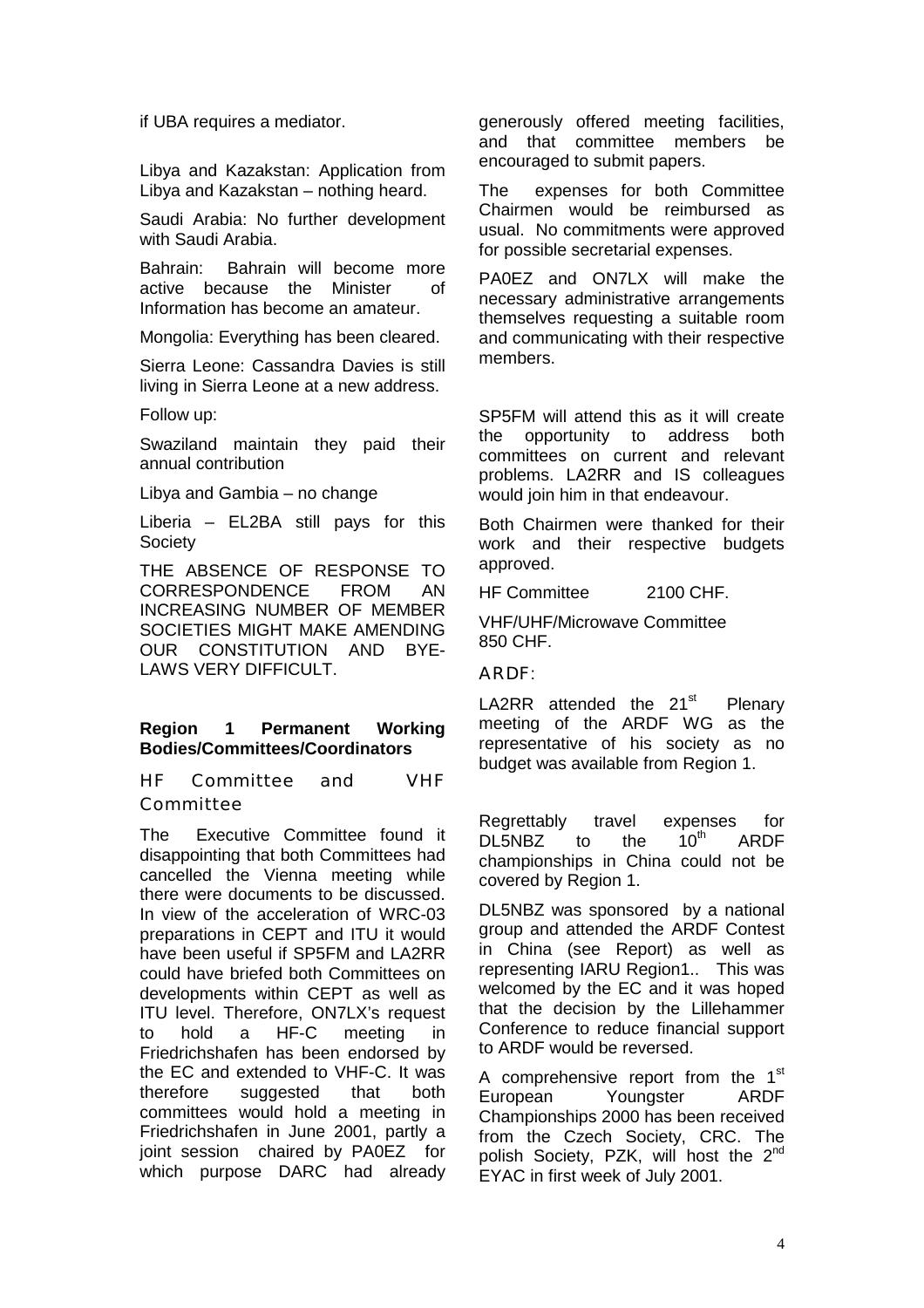if UBA requires a mediator.

Libya and Kazakstan: Application from Libya and Kazakstan – nothing heard.

Saudi Arabia: No further development with Saudi Arabia.

Bahrain: Bahrain will become more active because the Minister of Information has become an amateur.

Mongolia: Everything has been cleared.

Sierra Leone: Cassandra Davies is still living in Sierra Leone at a new address.

Follow up:

Swaziland maintain they paid their annual contribution

Libya and Gambia – no change

Liberia – EL2BA still pays for this Society

THE ABSENCE OF RESPONSE TO CORRESPONDENCE FROM AN INCREASING NUMBER OF MEMBER SOCIETIES MIGHT MAKE AMENDING OUR CONSTITUTION AND BYE-LAWS VERY DIFFICULT.

## **Region 1 Permanent Working Bodies/Committees/Coordinators**

HF Committee and VHF Committee

The Executive Committee found it disappointing that both Committees had cancelled the Vienna meeting while there were documents to be discussed. In view of the acceleration of WRC-03 preparations in CEPT and ITU it would have been useful if SP5FM and LA2RR could have briefed both Committees on developments within CEPT as well as ITU level. Therefore, ON7LX's request to hold a HF-C meeting in Friedrichshafen has been endorsed by the EC and extended to VHF-C. It was therefore suggested that both committees would hold a meeting in Friedrichshafen in June 2001, partly a joint session chaired by PA0EZ for which purpose DARC had already generously offered meeting facilities, and that committee members be encouraged to submit papers.

The expenses for both Committee Chairmen would be reimbursed as usual. No commitments were approved for possible secretarial expenses.

PA0EZ and ON7LX will make the necessary administrative arrangements themselves requesting a suitable room and communicating with their respective members.

SP5FM will attend this as it will create the opportunity to address both committees on current and relevant problems. LA2RR and IS colleagues would join him in that endeavour.

Both Chairmen were thanked for their work and their respective budgets approved.

HF Committee 2100 CHF.

VHF/UHF/Microwave Committee 850 CHF.

ARDF:

LA2RR attended the  $21<sup>st</sup>$  Plenary meeting of the ARDF WG as the representative of his society as no budget was available from Region 1.

Regrettably travel expenses for<br>DL5NBZ to the  $10^{th}$  ARDF  $DL5NBZ$  to the  $10^{th}$  ARDF championships in China could not be covered by Region 1.

DL5NBZ was sponsored by a national group and attended the ARDF Contest in China (see Report) as well as representing IARU Region1.. This was welcomed by the EC and it was hoped that the decision by the Lillehammer Conference to reduce financial support to ARDF would be reversed.

A comprehensive report from the 1<sup>st</sup> European Youngster ARDF Championships 2000 has been received from the Czech Society, CRC. The polish Society, PZK, will host the  $2^{nd}$ EYAC in first week of July 2001.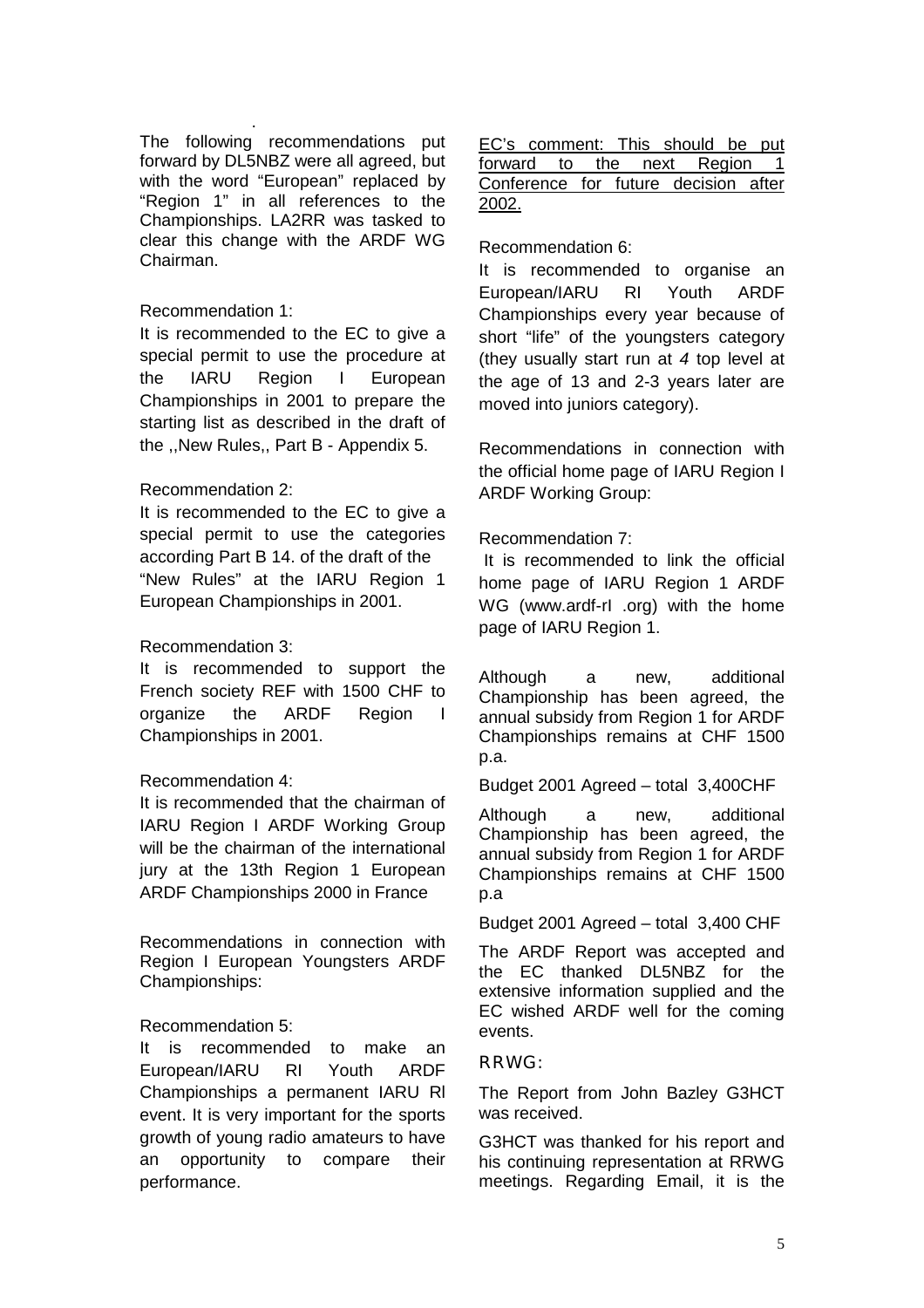. The following recommendations put forward by DL5NBZ were all agreed, but with the word "European" replaced by "Region 1" in all references to the Championships. LA2RR was tasked to clear this change with the ARDF WG Chairman.

#### Recommendation 1:

It is recommended to the EC to give a special permit to use the procedure at the IARU Region I European Championships in 2001 to prepare the starting list as described in the draft of the ,,New Rules,, Part B - Appendix 5.

## Recommendation 2:

It is recommended to the EC to give a special permit to use the categories according Part B 14. of the draft of the "New Rules" at the IARU Region 1 European Championships in 2001.

## Recommendation 3:

It is recommended to support the French society REF with 1500 CHF to organize the ARDF Region I Championships in 2001.

#### Recommendation 4:

It is recommended that the chairman of IARU Region I ARDF Working Group will be the chairman of the international jury at the 13th Region 1 European ARDF Championships 2000 in France

Recommendations in connection with Region I European Youngsters ARDF Championships:

#### Recommendation 5:

It is recommended to make an European/IARU RI Youth ARDF Championships a permanent IARU Rl event. It is very important for the sports growth of young radio amateurs to have an opportunity to compare their performance.

| EC's comment: This should be put     |  |  |  |  |
|--------------------------------------|--|--|--|--|
| forward to the next Region 1         |  |  |  |  |
| Conference for future decision after |  |  |  |  |
| 2002.                                |  |  |  |  |

Recommendation 6:

It is recommended to organise an European/IARU RI Youth ARDF Championships every year because of short "life" of the youngsters category (they usually start run at *4* top level at the age of 13 and 2-3 years later are moved into juniors category).

Recommendations in connection with the official home page of IARU Region I ARDF Working Group:

## Recommendation 7:

 It is recommended to link the official home page of IARU Region 1 ARDF WG (www.ardf-rI .org) with the home page of IARU Region 1.

Although a new, additional Championship has been agreed, the annual subsidy from Region 1 for ARDF Championships remains at CHF 1500 p.a.

Budget 2001 Agreed – total 3,400CHF

Although a new, additional Championship has been agreed, the annual subsidy from Region 1 for ARDF Championships remains at CHF 1500 p.a

Budget 2001 Agreed – total 3,400 CHF

The ARDF Report was accepted and the EC thanked DL5NBZ for the extensive information supplied and the EC wished ARDF well for the coming events.

#### RRWG:

The Report from John Bazley G3HCT was received.

G3HCT was thanked for his report and his continuing representation at RRWG meetings. Regarding Email, it is the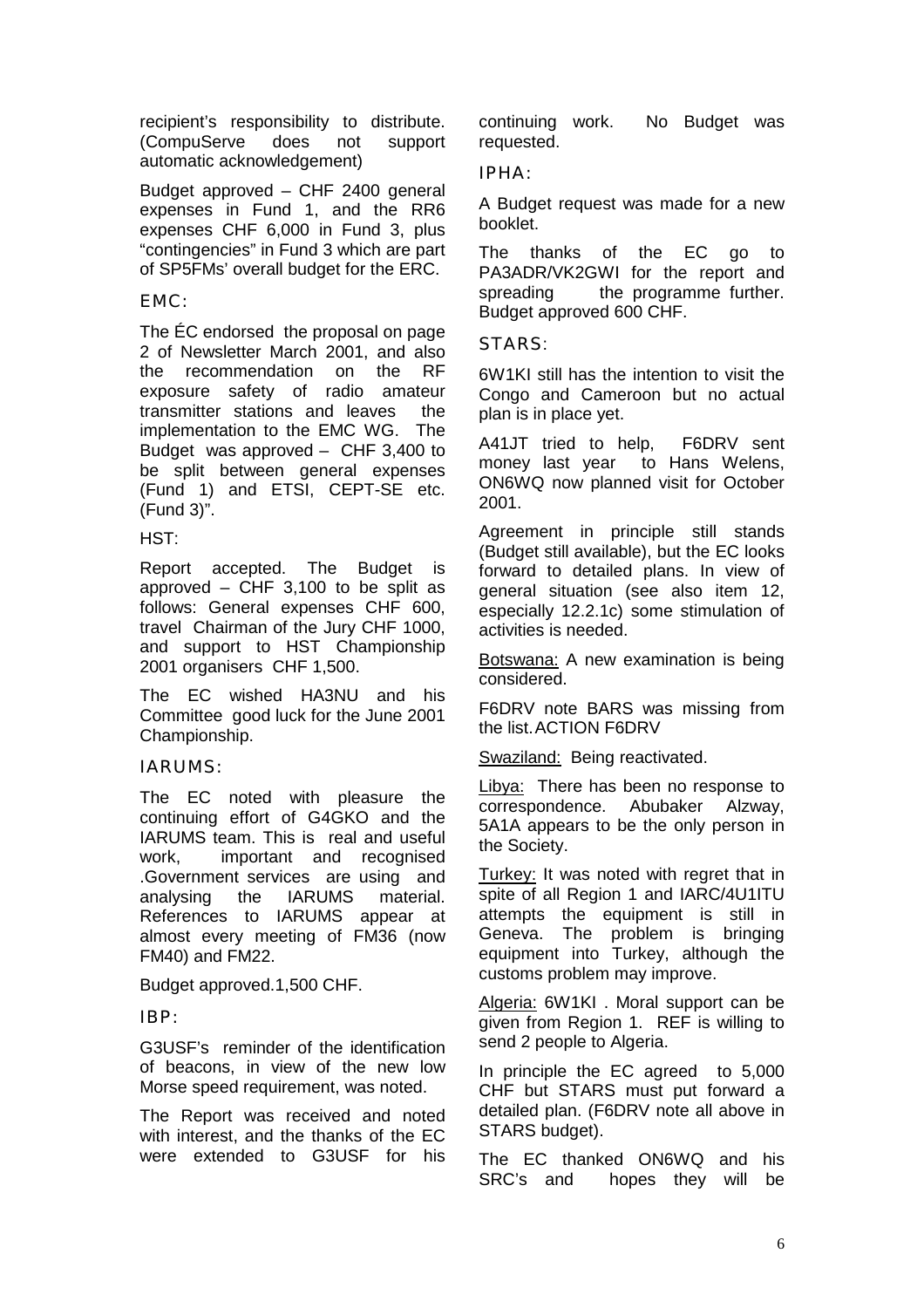recipient's responsibility to distribute. (CompuServe does not support automatic acknowledgement)

Budget approved – CHF 2400 general expenses in Fund 1, and the RR6 expenses CHF 6,000 in Fund 3, plus "contingencies" in Fund 3 which are part of SP5FMs' overall budget for the ERC.

EMC:

The ÉC endorsed the proposal on page 2 of Newsletter March 2001, and also the recommendation on the RF exposure safety of radio amateur transmitter stations and leaves the implementation to the EMC WG. The Budget was approved – CHF 3,400 to be split between general expenses (Fund 1) and ETSI, CEPT-SE etc. (Fund 3)".

HST:

Report accepted. The Budget is approved – CHF 3,100 to be split as follows: General expenses CHF 600, travel Chairman of the Jury CHF 1000, and support to HST Championship 2001 organisers CHF 1,500.

The EC wished HA3NU and his Committee good luck for the June 2001 Championship.

IARUMS:

The EC noted with pleasure the continuing effort of G4GKO and the IARUMS team. This is real and useful work, important and recognised .Government services are using and analysing the IARUMS material. References to IARUMS appear at almost every meeting of FM36 (now FM40) and FM22.

Budget approved.1,500 CHF.

IBP:

G3USF's reminder of the identification of beacons, in view of the new low Morse speed requirement, was noted.

The Report was received and noted with interest, and the thanks of the EC were extended to G3USF for his

continuing work. No Budget was requested.

IPHA:

A Budget request was made for a new booklet.

The thanks of the EC go to PA3ADR/VK2GWI for the report and spreading the programme further. Budget approved 600 CHF.

STARS:

6W1KI still has the intention to visit the Congo and Cameroon but no actual plan is in place yet.

A41JT tried to help, F6DRV sent money last year to Hans Welens, ON6WQ now planned visit for October 2001.

Agreement in principle still stands (Budget still available), but the EC looks forward to detailed plans. In view of general situation (see also item 12, especially 12.2.1c) some stimulation of activities is needed.

Botswana: A new examination is being considered.

F6DRV note BARS was missing from the list.ACTION F6DRV

Swaziland: Being reactivated.

Libya: There has been no response to correspondence. Abubaker Alzway, 5A1A appears to be the only person in the Society.

Turkey: It was noted with regret that in spite of all Region 1 and IARC/4U1ITU attempts the equipment is still in Geneva. The problem is bringing equipment into Turkey, although the customs problem may improve.

Algeria: 6W1KI . Moral support can be given from Region 1. REF is willing to send 2 people to Algeria.

In principle the EC agreed to 5,000 CHF but STARS must put forward a detailed plan. (F6DRV note all above in STARS budget).

The EC thanked ON6WQ and his SRC's and hopes they will be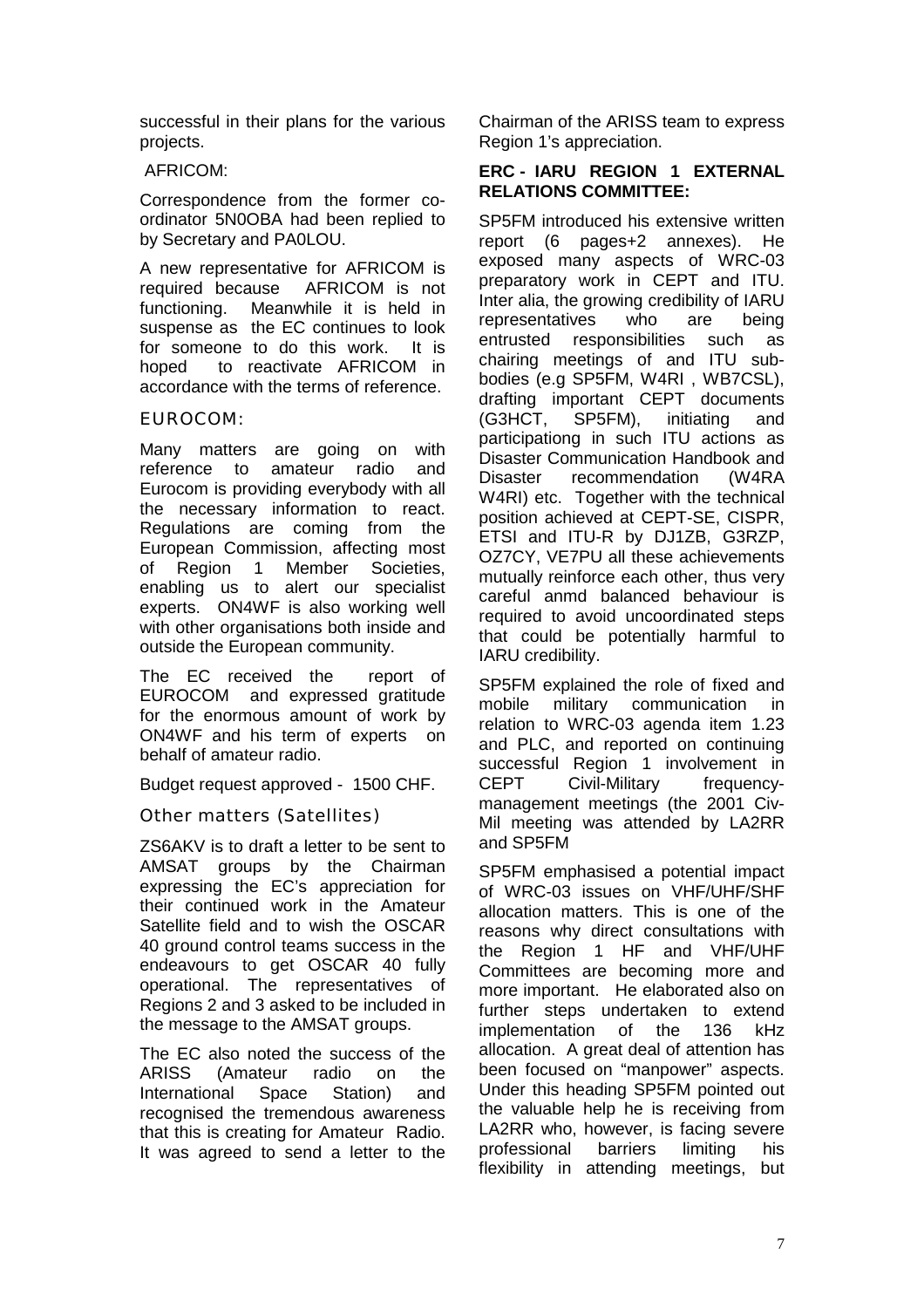successful in their plans for the various projects.

#### AFRICOM:

Correspondence from the former coordinator 5N0OBA had been replied to by Secretary and PA0LOU.

A new representative for AFRICOM is required because AFRICOM is not functioning. Meanwhile it is held in suspense as the EC continues to look for someone to do this work. It is hoped to reactivate AFRICOM in accordance with the terms of reference.

## EUROCOM:

Many matters are going on with reference to amateur radio and Eurocom is providing everybody with all the necessary information to react. Regulations are coming from the European Commission, affecting most of Region 1 Member Societies, enabling us to alert our specialist experts. ON4WF is also working well with other organisations both inside and outside the European community.

The EC received the report of EUROCOM and expressed gratitude for the enormous amount of work by ON4WF and his term of experts on behalf of amateur radio.

Budget request approved - 1500 CHF.

Other matters (Satellites)

ZS6AKV is to draft a letter to be sent to AMSAT groups by the Chairman expressing the EC's appreciation for their continued work in the Amateur Satellite field and to wish the OSCAR 40 ground control teams success in the endeavours to get OSCAR 40 fully operational. The representatives of Regions 2 and 3 asked to be included in the message to the AMSAT groups.

The EC also noted the success of the ARISS (Amateur radio on the International Space Station) and recognised the tremendous awareness that this is creating for Amateur Radio. It was agreed to send a letter to the

Chairman of the ARISS team to express Region 1's appreciation.

## **ERC - IARU REGION 1 EXTERNAL RELATIONS COMMITTEE:**

SP5FM introduced his extensive written report (6 pages+2 annexes). He exposed many aspects of WRC-03 preparatory work in CEPT and ITU. Inter alia, the growing credibility of IARU representatives who are being entrusted responsibilities such as chairing meetings of and ITU subbodies (e.g SP5FM, W4RI , WB7CSL), drafting important CEPT documents<br>(G3HCT, SP5FM), initiating and SP5FM), initiating and participationg in such ITU actions as Disaster Communication Handbook and Disaster recommendation (W4RA W4RI) etc. Together with the technical position achieved at CEPT-SE, CISPR, ETSI and ITU-R by DJ1ZB, G3RZP, OZ7CY, VE7PU all these achievements mutually reinforce each other, thus very careful anmd balanced behaviour is required to avoid uncoordinated steps that could be potentially harmful to IARU credibility.

SP5FM explained the role of fixed and mobile military communication in relation to WRC-03 agenda item 1.23 and PLC, and reported on continuing successful Region 1 involvement in CEPT Civil-Military frequencymanagement meetings (the 2001 Civ-Mil meeting was attended by LA2RR and SP5FM

SP5FM emphasised a potential impact of WRC-03 issues on VHF/UHF/SHF allocation matters. This is one of the reasons why direct consultations with the Region 1 HF and VHF/UHF Committees are becoming more and more important. He elaborated also on further steps undertaken to extend implementation of the 136 kHz allocation. A great deal of attention has been focused on "manpower" aspects. Under this heading SP5FM pointed out the valuable help he is receiving from LA2RR who, however, is facing severe professional barriers limiting his flexibility in attending meetings, but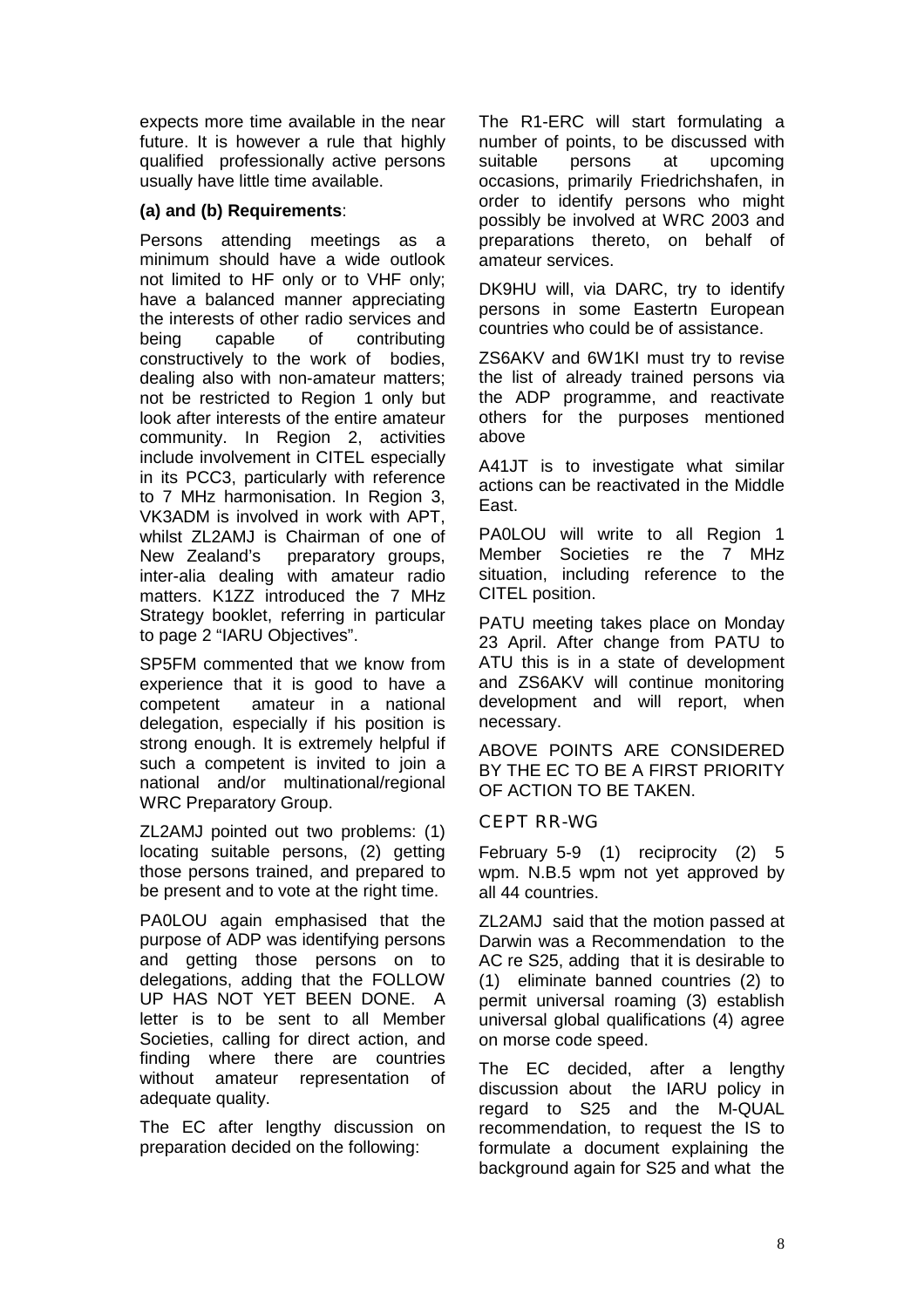expects more time available in the near future. It is however a rule that highly qualified professionally active persons usually have little time available.

## **(a) and (b) Requirements**:

Persons attending meetings as a minimum should have a wide outlook not limited to HF only or to VHF only; have a balanced manner appreciating the interests of other radio services and being capable of contributing constructively to the work of bodies, dealing also with non-amateur matters; not be restricted to Region 1 only but look after interests of the entire amateur community. In Region 2, activities include involvement in CITEL especially in its PCC3, particularly with reference to 7 MHz harmonisation. In Region 3, VK3ADM is involved in work with APT, whilst ZL2AMJ is Chairman of one of New Zealand's preparatory groups, inter-alia dealing with amateur radio matters. K1ZZ introduced the 7 MHz Strategy booklet, referring in particular to page 2 "IARU Objectives".

SP5FM commented that we know from experience that it is good to have a competent amateur in a national delegation, especially if his position is strong enough. It is extremely helpful if such a competent is invited to join a national and/or multinational/regional WRC Preparatory Group.

ZL2AMJ pointed out two problems: (1) locating suitable persons, (2) getting those persons trained, and prepared to be present and to vote at the right time.

PA0LOU again emphasised that the purpose of ADP was identifying persons and getting those persons on to delegations, adding that the FOLLOW UP HAS NOT YET BEEN DONE. A letter is to be sent to all Member Societies, calling for direct action, and finding where there are countries without amateur representation of adequate quality.

The EC after lengthy discussion on preparation decided on the following:

The R1-ERC will start formulating a number of points, to be discussed with suitable persons at upcoming occasions, primarily Friedrichshafen, in order to identify persons who might possibly be involved at WRC 2003 and preparations thereto, on behalf of amateur services.

DK9HU will, via DARC, try to identify persons in some Eastertn European countries who could be of assistance.

ZS6AKV and 6W1KI must try to revise the list of already trained persons via the ADP programme, and reactivate others for the purposes mentioned above

A41JT is to investigate what similar actions can be reactivated in the Middle East.

PA0LOU will write to all Region 1 Member Societies re the 7 MHz situation, including reference to the CITEL position.

PATU meeting takes place on Monday 23 April. After change from PATU to ATU this is in a state of development and ZS6AKV will continue monitoring development and will report, when necessary.

ABOVE POINTS ARE CONSIDERED BY THE EC TO BE A FIRST PRIORITY OF ACTION TO BE TAKEN.

#### CEPT RR-WG

February 5-9 (1) reciprocity (2) 5 wpm. N.B.5 wpm not yet approved by all 44 countries.

ZL2AMJ said that the motion passed at Darwin was a Recommendation to the AC re S25, adding that it is desirable to (1) eliminate banned countries (2) to permit universal roaming (3) establish universal global qualifications (4) agree on morse code speed.

The EC decided, after a lengthy discussion about the IARU policy in regard to S25 and the M-QUAL recommendation, to request the IS to formulate a document explaining the background again for S25 and what the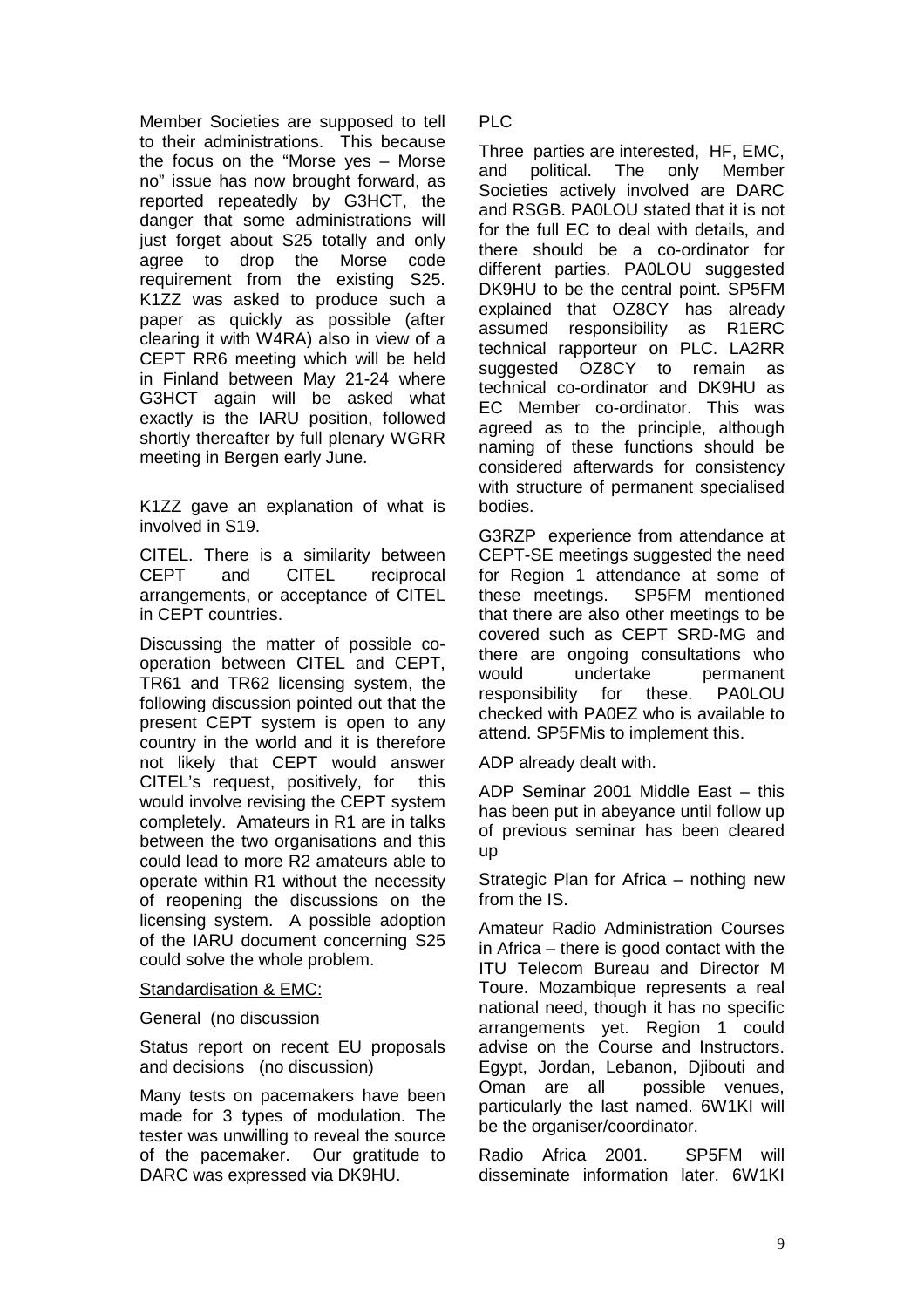Member Societies are supposed to tell to their administrations. This because the focus on the "Morse yes – Morse no" issue has now brought forward, as reported repeatedly by G3HCT, the danger that some administrations will just forget about S25 totally and only agree to drop the Morse code requirement from the existing S25. K1ZZ was asked to produce such a paper as quickly as possible (after clearing it with W4RA) also in view of a CEPT RR6 meeting which will be held in Finland between May 21-24 where G3HCT again will be asked what exactly is the IARU position, followed shortly thereafter by full plenary WGRR meeting in Bergen early June.

K1ZZ gave an explanation of what is involved in S19.

CITEL. There is a similarity between CEPT and CITEL reciprocal arrangements, or acceptance of CITEL in CEPT countries.

Discussing the matter of possible cooperation between CITEL and CEPT, TR61 and TR62 licensing system, the following discussion pointed out that the present CEPT system is open to any country in the world and it is therefore not likely that CEPT would answer CITEL's request, positively, for this would involve revising the CEPT system completely. Amateurs in R1 are in talks between the two organisations and this could lead to more R2 amateurs able to operate within R1 without the necessity of reopening the discussions on the licensing system. A possible adoption of the IARU document concerning S25 could solve the whole problem.

#### Standardisation & EMC:

#### General (no discussion

Status report on recent EU proposals and decisions (no discussion)

Many tests on pacemakers have been made for 3 types of modulation. The tester was unwilling to reveal the source of the pacemaker. Our gratitude to DARC was expressed via DK9HU.

PLC

Three parties are interested, HF, EMC, and political. The only Member Societies actively involved are DARC and RSGB. PA0LOU stated that it is not for the full EC to deal with details, and there should be a co-ordinator for different parties. PA0LOU suggested DK9HU to be the central point. SP5FM explained that OZ8CY has already assumed responsibility as R1ERC technical rapporteur on PLC. LA2RR suggested OZ8CY to remain as technical co-ordinator and DK9HU as EC Member co-ordinator. This was agreed as to the principle, although naming of these functions should be considered afterwards for consistency with structure of permanent specialised bodies.

G3RZP experience from attendance at CEPT-SE meetings suggested the need for Region 1 attendance at some of these meetings. SP5FM mentioned that there are also other meetings to be covered such as CEPT SRD-MG and there are ongoing consultations who would undertake permanent responsibility for these. PA0LOU checked with PA0EZ who is available to attend. SP5FMis to implement this.

ADP already dealt with.

ADP Seminar 2001 Middle East – this has been put in abeyance until follow up of previous seminar has been cleared up

Strategic Plan for Africa – nothing new from the IS.

Amateur Radio Administration Courses in Africa – there is good contact with the ITU Telecom Bureau and Director M Toure. Mozambique represents a real national need, though it has no specific arrangements yet. Region 1 could advise on the Course and Instructors. Egypt, Jordan, Lebanon, Djibouti and Oman are all possible venues, particularly the last named. 6W1KI will be the organiser/coordinator.

Radio Africa 2001. SP5FM will disseminate information later. 6W1KI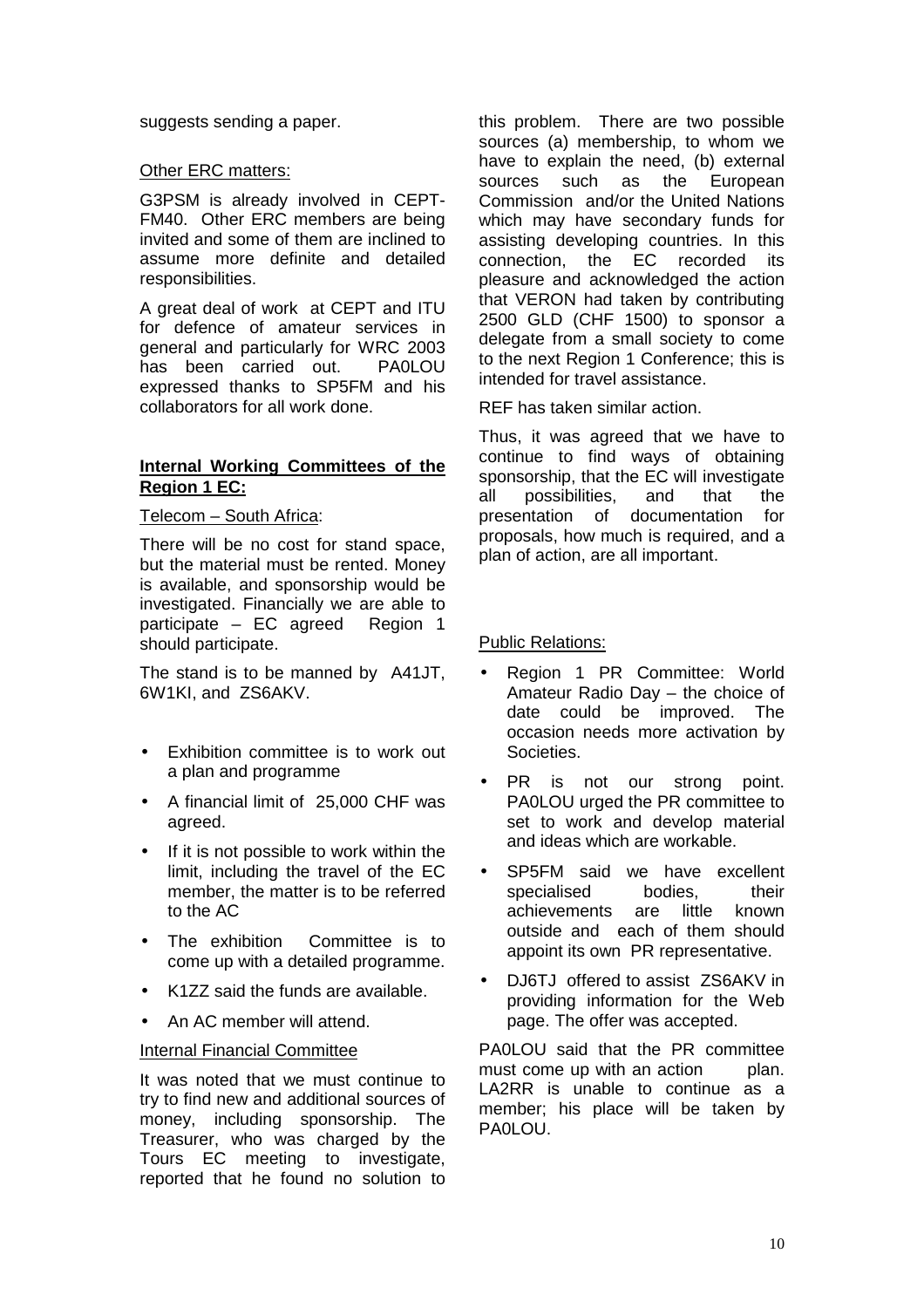suggests sending a paper.

#### Other ERC matters:

G3PSM is already involved in CEPT-FM40. Other ERC members are being invited and some of them are inclined to assume more definite and detailed responsibilities.

A great deal of work at CEPT and ITU for defence of amateur services in general and particularly for WRC 2003 has been carried out. PA0LOU expressed thanks to SP5FM and his collaborators for all work done.

#### **Internal Working Committees of the Region 1 EC:**

#### Telecom – South Africa:

There will be no cost for stand space, but the material must be rented. Money is available, and sponsorship would be investigated. Financially we are able to participate – EC agreed Region 1 should participate.

The stand is to be manned by A41JT, 6W1KI, and ZS6AKV.

- Exhibition committee is to work out a plan and programme
- A financial limit of 25,000 CHF was agreed.
- If it is not possible to work within the limit, including the travel of the EC member, the matter is to be referred to the AC
- The exhibition Committee is to come up with a detailed programme.
- K1ZZ said the funds are available.
- An AC member will attend.

#### Internal Financial Committee

It was noted that we must continue to try to find new and additional sources of money, including sponsorship. The Treasurer, who was charged by the Tours EC meeting to investigate, reported that he found no solution to

this problem. There are two possible sources (a) membership, to whom we have to explain the need, (b) external sources such as the European Commission and/or the United Nations which may have secondary funds for assisting developing countries. In this connection, the EC recorded its pleasure and acknowledged the action that VERON had taken by contributing 2500 GLD (CHF 1500) to sponsor a delegate from a small society to come to the next Region 1 Conference; this is intended for travel assistance.

REF has taken similar action.

Thus, it was agreed that we have to continue to find ways of obtaining sponsorship, that the EC will investigate all possibilities, and that the presentation of documentation for proposals, how much is required, and a plan of action, are all important.

Public Relations:

- Region 1 PR Committee: World Amateur Radio Day – the choice of date could be improved. The occasion needs more activation by Societies.
- PR is not our strong point. PA0LOU urged the PR committee to set to work and develop material and ideas which are workable.
- SP5FM said we have excellent specialised bodies, their achievements are little known outside and each of them should appoint its own PR representative.
- DJ6TJ offered to assist ZS6AKV in providing information for the Web page. The offer was accepted.

PA0LOU said that the PR committee must come up with an action plan. LA2RR is unable to continue as a member; his place will be taken by PA0LOU.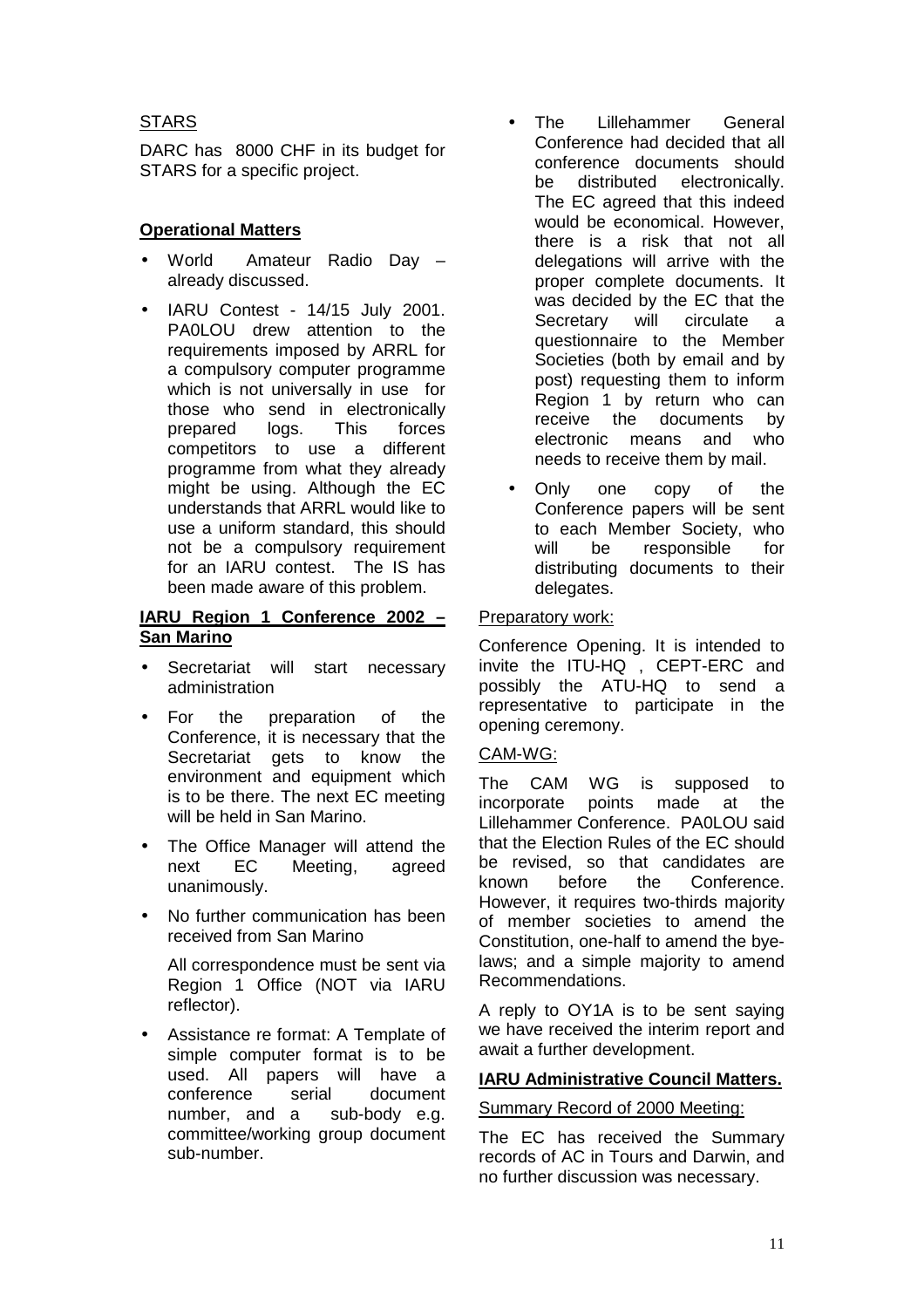## **STARS**

DARC has 8000 CHF in its budget for STARS for a specific project.

## **Operational Matters**

- World Amateur Radio Day already discussed.
- IARU Contest 14/15 July 2001. PA0LOU drew attention to the requirements imposed by ARRL for a compulsory computer programme which is not universally in use for those who send in electronically prepared logs. This forces competitors to use a different programme from what they already might be using. Although the EC understands that ARRL would like to use a uniform standard, this should not be a compulsory requirement for an IARU contest. The IS has been made aware of this problem.

#### **IARU Region 1 Conference 2002 – San Marino**

- Secretariat will start necessary administration
- For the preparation of the Conference, it is necessary that the Secretariat gets to know the environment and equipment which is to be there. The next EC meeting will be held in San Marino.
- The Office Manager will attend the next EC Meeting, agreed unanimously.
- No further communication has been received from San Marino

All correspondence must be sent via Region 1 Office (NOT via IARU reflector).

• Assistance re format: A Template of simple computer format is to be used. All papers will have a conference serial document number, and a sub-body e.g. committee/working group document sub-number.

- The Lillehammer General Conference had decided that all conference documents should be distributed electronically. The EC agreed that this indeed would be economical. However, there is a risk that not all delegations will arrive with the proper complete documents. It was decided by the EC that the Secretary will circulate a questionnaire to the Member Societies (both by email and by post) requesting them to inform Region 1 by return who can receive the documents by electronic means and who needs to receive them by mail.
- Only one copy of the Conference papers will be sent to each Member Society, who will be responsible for distributing documents to their delegates.

## Preparatory work:

Conference Opening. It is intended to invite the ITU-HQ , CEPT-ERC and possibly the ATU-HQ to send a representative to participate in the opening ceremony.

## CAM-WG:

The CAM WG is supposed to incorporate points made at the Lillehammer Conference. PA0LOU said that the Election Rules of the EC should be revised, so that candidates are known before the Conference. However, it requires two-thirds majority of member societies to amend the Constitution, one-half to amend the byelaws; and a simple majority to amend Recommendations.

A reply to OY1A is to be sent saying we have received the interim report and await a further development.

#### **IARU Administrative Council Matters.**

#### Summary Record of 2000 Meeting:

The EC has received the Summary records of AC in Tours and Darwin, and no further discussion was necessary.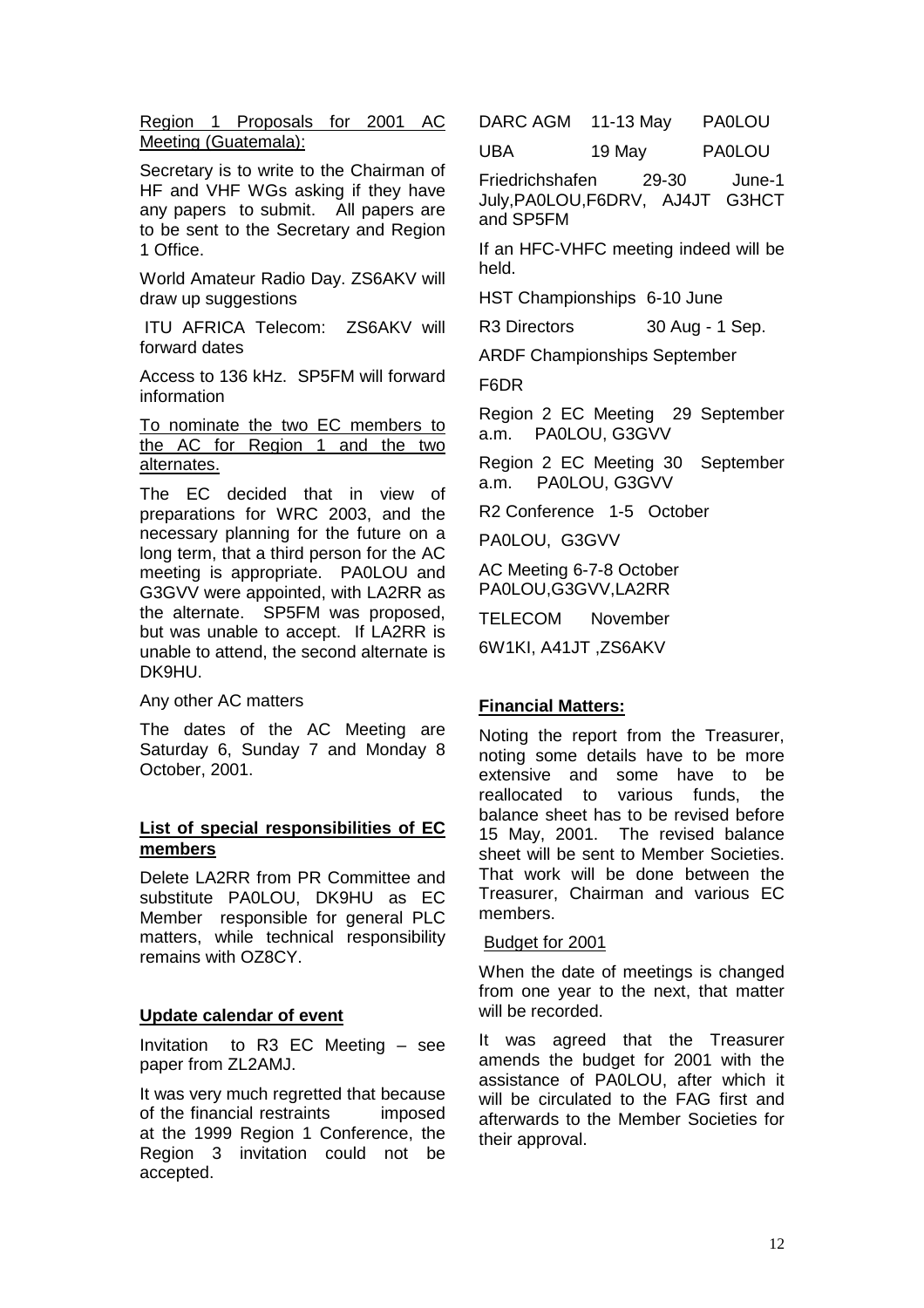Region 1 Proposals for 2001 AC Meeting (Guatemala):

Secretary is to write to the Chairman of HF and VHF WGs asking if they have any papers to submit. All papers are to be sent to the Secretary and Region 1 Office.

World Amateur Radio Day. ZS6AKV will draw up suggestions

 ITU AFRICA Telecom: ZS6AKV will forward dates

Access to 136 kHz. SP5FM will forward information

#### To nominate the two EC members to the AC for Region 1 and the two alternates.

The EC decided that in view of preparations for WRC 2003, and the necessary planning for the future on a long term, that a third person for the AC meeting is appropriate. PA0LOU and G3GVV were appointed, with LA2RR as the alternate. SP5FM was proposed, but was unable to accept. If LA2RR is unable to attend, the second alternate is DK9HU.

Any other AC matters

The dates of the AC Meeting are Saturday 6, Sunday 7 and Monday 8 October, 2001.

#### **List of special responsibilities of EC members**

Delete LA2RR from PR Committee and substitute PA0LOU, DK9HU as EC Member responsible for general PLC matters, while technical responsibility remains with OZ8CY.

#### **Update calendar of event**

Invitation to R3 EC Meeting – see paper from ZL2AMJ.

It was very much regretted that because of the financial restraints imposed at the 1999 Region 1 Conference, the Region 3 invitation could not be accepted.

DARC AGM 11-13 May PA0LOU

UBA 19 May PA0LOU

Friedrichshafen 29-30 June-1 July,PA0LOU,F6DRV, AJ4JT G3HCT and SP5FM

If an HFC-VHFC meeting indeed will be held.

HST Championships 6-10 June

R3 Directors 30 Aug - 1 Sep.

ARDF Championships September

F6DR

Region 2 EC Meeting 29 September a.m. PA0LOU, G3GVV

Region 2 EC Meeting 30 September a.m. PA0LOU, G3GVV

R2 Conference 1-5 October

PA0LOU, G3GVV

AC Meeting 6-7-8 October PA0LOU,G3GVV,LA2RR

TELECOM November

6W1KI, A41JT ,ZS6AKV

#### **Financial Matters:**

Noting the report from the Treasurer, noting some details have to be more extensive and some have to be reallocated to various funds, the balance sheet has to be revised before 15 May, 2001. The revised balance sheet will be sent to Member Societies. That work will be done between the Treasurer, Chairman and various EC members.

#### Budget for 2001

When the date of meetings is changed from one year to the next, that matter will be recorded.

It was agreed that the Treasurer amends the budget for 2001 with the assistance of PA0LOU, after which it will be circulated to the FAG first and afterwards to the Member Societies for their approval.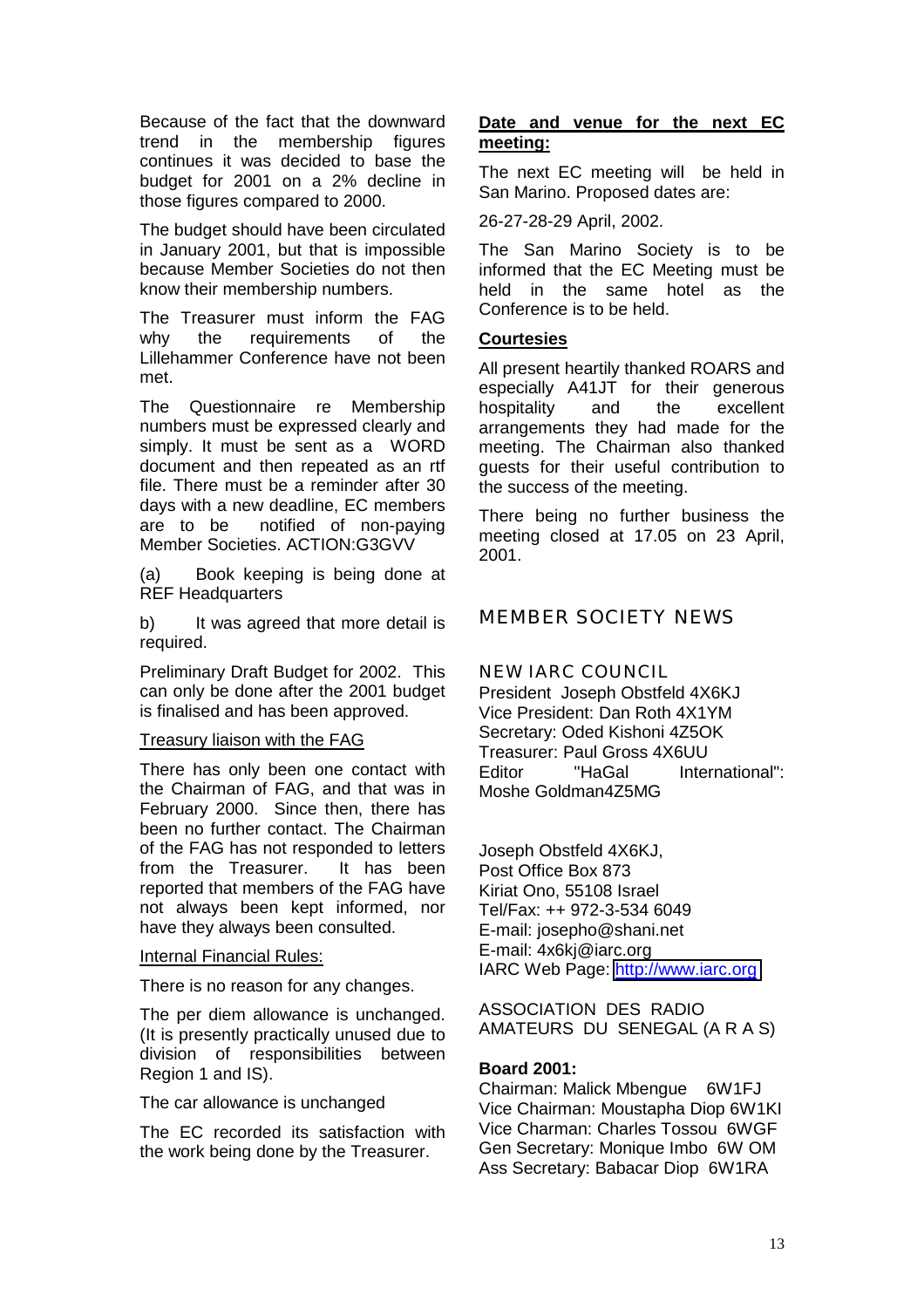Because of the fact that the downward trend in the membership figures continues it was decided to base the budget for 2001 on a 2% decline in those figures compared to 2000.

The budget should have been circulated in January 2001, but that is impossible because Member Societies do not then know their membership numbers.

The Treasurer must inform the FAG why the requirements of the Lillehammer Conference have not been met.

The Questionnaire re Membership numbers must be expressed clearly and simply. It must be sent as a WORD document and then repeated as an rtf file. There must be a reminder after 30 days with a new deadline, EC members are to be notified of non-paying Member Societies. ACTION:G3GVV

(a) Book keeping is being done at REF Headquarters

b) It was agreed that more detail is required.

Preliminary Draft Budget for 2002. This can only be done after the 2001 budget is finalised and has been approved.

Treasury liaison with the FAG

There has only been one contact with the Chairman of FAG, and that was in February 2000. Since then, there has been no further contact. The Chairman of the FAG has not responded to letters from the Treasurer. It has been reported that members of the FAG have not always been kept informed, nor have they always been consulted.

#### Internal Financial Rules:

There is no reason for any changes.

The per diem allowance is unchanged. (It is presently practically unused due to division of responsibilities between Region 1 and IS).

The car allowance is unchanged

The EC recorded its satisfaction with the work being done by the Treasurer.

## **Date and venue for the next EC meeting:**

The next EC meeting will be held in San Marino. Proposed dates are:

26-27-28-29 April, 2002.

The San Marino Society is to be informed that the EC Meeting must be held in the same hotel as the Conference is to be held.

## **Courtesies**

All present heartily thanked ROARS and especially A41JT for their generous hospitality and the excellent arrangements they had made for the meeting. The Chairman also thanked guests for their useful contribution to the success of the meeting.

There being no further business the meeting closed at 17.05 on 23 April, 2001.

MEMBER SOCIETY NEWS

NEW IARC COUNCIL

President Joseph Obstfeld 4X6KJ Vice President: Dan Roth 4X1YM Secretary: Oded Kishoni 4Z5OK Treasurer: Paul Gross 4X6UU Editor "HaGal International": Moshe Goldman4Z5MG

Joseph Obstfeld 4X6KJ, Post Office Box 873 Kiriat Ono, 55108 Israel Tel/Fax: ++ 972-3-534 6049 E-mail: josepho@shani.net E-mail: 4x6kj@iarc.org IARC Web Page: [http://www.iarc.org](http://www.iarc.org/)

ASSOCIATION DES RADIO AMATEURS DU SENEGAL (A R A S)

#### **Board 2001:**

Chairman: Malick Mbengue 6W1FJ Vice Chairman: Moustapha Diop 6W1KI Vice Charman: Charles Tossou 6WGF Gen Secretary: Monique Imbo 6W OM Ass Secretary: Babacar Diop 6W1RA